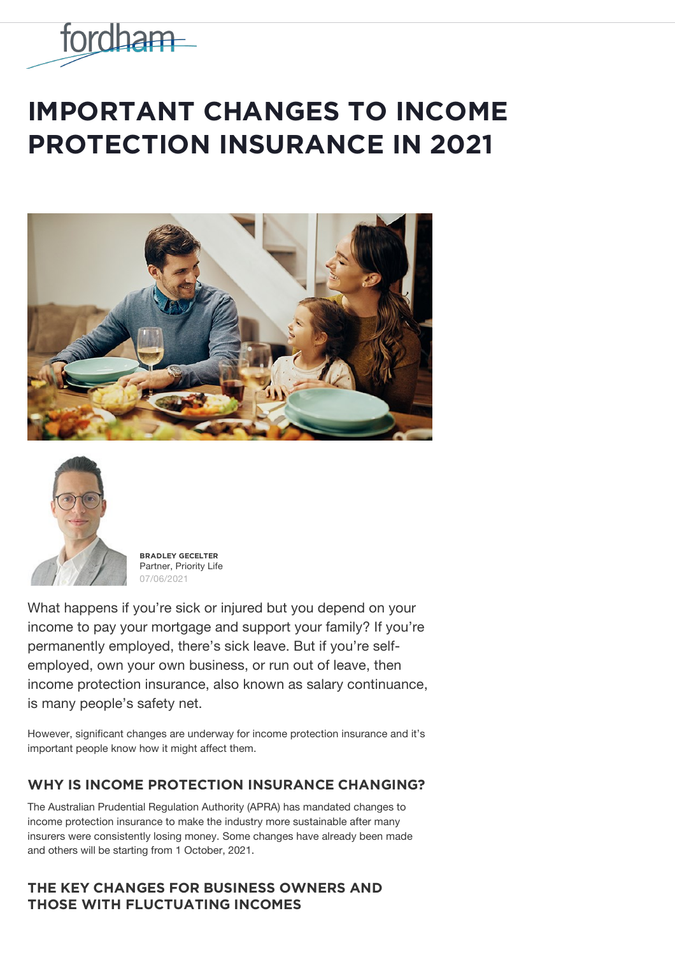

# **IMPORTANT CHANGES TO INCOME PROTECTION INSURANCE IN 2021**





**BŘǺĐĿĚỲ ĢĚČĚĿȚĚŘ** Partner, Priority Life 07/06/2021

What happens if you're sick or injured but you depend on your income to pay your mortgage and support your family? If you're permanently employed, there's sick leave. But if you're selfemployed, own your own business, or run out of leave, then income protection insurance, also known as salary continuance, is many people's safety net.

However, significant changes are underway for income protection insurance and it's important people know how it might affect them.

# WHY IS INCOME PROTECTION INSURANCE CHANGING?

The Australian Prudential Regulation Authority (APRA) has mandated changes to income protection insurance to make the industry more sustainable after many insurers were consistently losing money. Some changes have already been made and others will be starting from 1 October, 2021.

# $THE$ **KEY CHANGES FOR BUSINESS OWNERS AND**  $THOSE$  WITH FLUCTUATING INCOMES